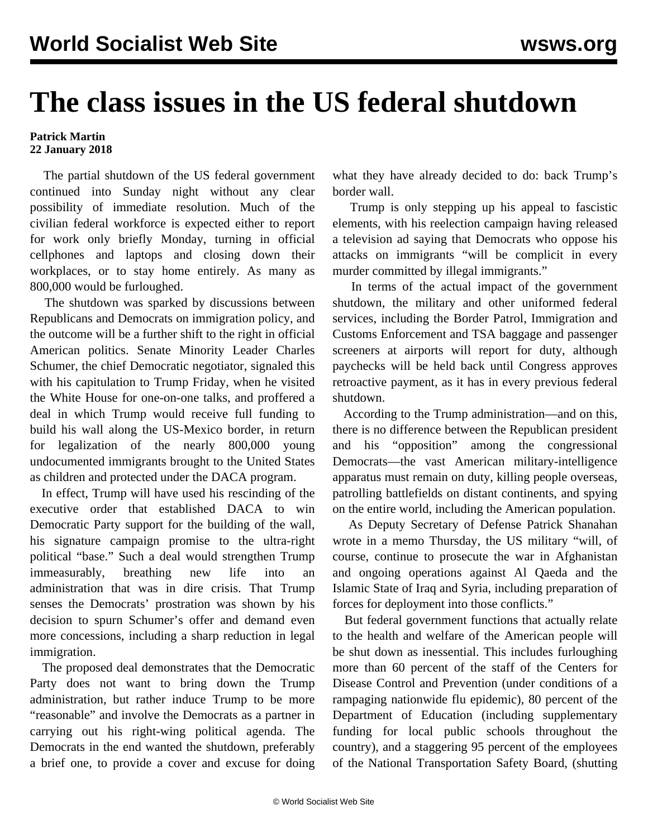## **The class issues in the US federal shutdown**

## **Patrick Martin 22 January 2018**

 The partial shutdown of the US federal government continued into Sunday night without any clear possibility of immediate resolution. Much of the civilian federal workforce is expected either to report for work only briefly Monday, turning in official cellphones and laptops and closing down their workplaces, or to stay home entirely. As many as 800,000 would be furloughed.

 The shutdown was sparked by discussions between Republicans and Democrats on immigration policy, and the outcome will be a further shift to the right in official American politics. Senate Minority Leader Charles Schumer, the chief Democratic negotiator, signaled this with his capitulation to Trump Friday, when he visited the White House for one-on-one talks, and proffered a deal in which Trump would receive full funding to build his wall along the US-Mexico border, in return for legalization of the nearly 800,000 young undocumented immigrants brought to the United States as children and protected under the DACA program.

 In effect, Trump will have used his rescinding of the executive order that established DACA to win Democratic Party support for the building of the wall, his signature campaign promise to the ultra-right political "base." Such a deal would strengthen Trump immeasurably, breathing new life into an administration that was in dire crisis. That Trump senses the Democrats' prostration was shown by his decision to spurn Schumer's offer and demand even more concessions, including a sharp reduction in legal immigration.

 The proposed deal demonstrates that the Democratic Party does not want to bring down the Trump administration, but rather induce Trump to be more "reasonable" and involve the Democrats as a partner in carrying out his right-wing political agenda. The Democrats in the end wanted the shutdown, preferably a brief one, to provide a cover and excuse for doing what they have already decided to do: back Trump's border wall.

 Trump is only stepping up his appeal to fascistic elements, with his reelection campaign having released a television ad saying that Democrats who oppose his attacks on immigrants "will be complicit in every murder committed by illegal immigrants."

 In terms of the actual impact of the government shutdown, the military and other uniformed federal services, including the Border Patrol, Immigration and Customs Enforcement and TSA baggage and passenger screeners at airports will report for duty, although paychecks will be held back until Congress approves retroactive payment, as it has in every previous federal shutdown.

 According to the Trump administration—and on this, there is no difference between the Republican president and his "opposition" among the congressional Democrats—the vast American military-intelligence apparatus must remain on duty, killing people overseas, patrolling battlefields on distant continents, and spying on the entire world, including the American population.

 As Deputy Secretary of Defense Patrick Shanahan wrote in a memo Thursday, the US military "will, of course, continue to prosecute the war in Afghanistan and ongoing operations against Al Qaeda and the Islamic State of Iraq and Syria, including preparation of forces for deployment into those conflicts."

 But federal government functions that actually relate to the health and welfare of the American people will be shut down as inessential. This includes furloughing more than 60 percent of the staff of the Centers for Disease Control and Prevention (under conditions of a rampaging nationwide flu epidemic), 80 percent of the Department of Education (including supplementary funding for local public schools throughout the country), and a staggering 95 percent of the employees of the National Transportation Safety Board, (shutting